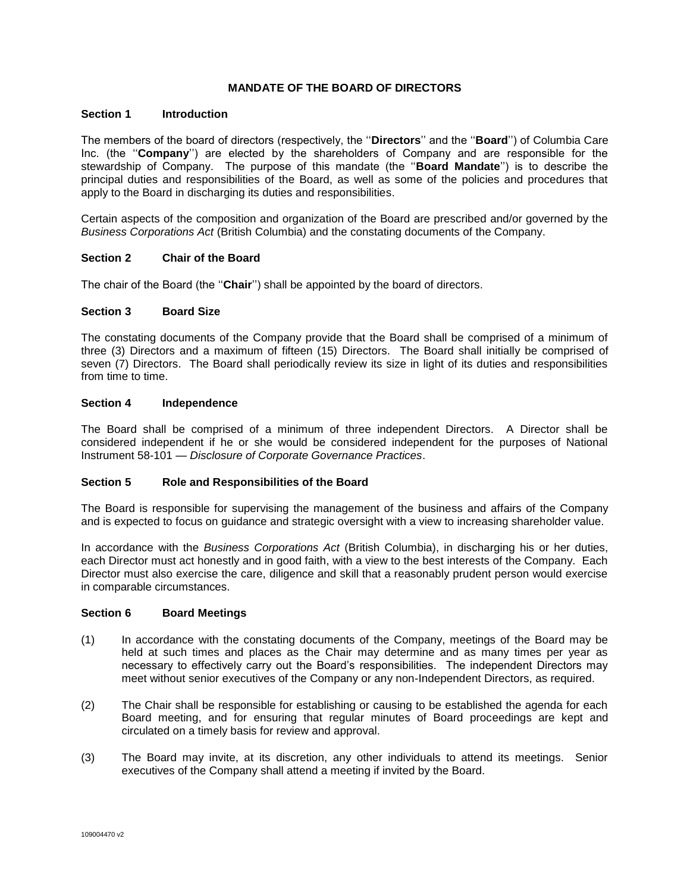# **MANDATE OF THE BOARD OF DIRECTORS**

#### **Section 1 Introduction**

The members of the board of directors (respectively, the ''**Directors**'' and the ''**Board**'') of Columbia Care Inc. (the ''**Company**'') are elected by the shareholders of Company and are responsible for the stewardship of Company. The purpose of this mandate (the ''**Board Mandate**'') is to describe the principal duties and responsibilities of the Board, as well as some of the policies and procedures that apply to the Board in discharging its duties and responsibilities.

Certain aspects of the composition and organization of the Board are prescribed and/or governed by the *Business Corporations Act* (British Columbia) and the constating documents of the Company.

#### **Section 2 Chair of the Board**

The chair of the Board (the ''**Chair**'') shall be appointed by the board of directors.

#### **Section 3 Board Size**

The constating documents of the Company provide that the Board shall be comprised of a minimum of three (3) Directors and a maximum of fifteen (15) Directors. The Board shall initially be comprised of seven (7) Directors. The Board shall periodically review its size in light of its duties and responsibilities from time to time.

# **Section 4 Independence**

The Board shall be comprised of a minimum of three independent Directors. A Director shall be considered independent if he or she would be considered independent for the purposes of National Instrument 58-101 — *Disclosure of Corporate Governance Practices*.

#### **Section 5 Role and Responsibilities of the Board**

The Board is responsible for supervising the management of the business and affairs of the Company and is expected to focus on guidance and strategic oversight with a view to increasing shareholder value.

In accordance with the *Business Corporations Act* (British Columbia), in discharging his or her duties, each Director must act honestly and in good faith, with a view to the best interests of the Company. Each Director must also exercise the care, diligence and skill that a reasonably prudent person would exercise in comparable circumstances.

#### **Section 6 Board Meetings**

- (1) In accordance with the constating documents of the Company, meetings of the Board may be held at such times and places as the Chair may determine and as many times per year as necessary to effectively carry out the Board's responsibilities. The independent Directors may meet without senior executives of the Company or any non-Independent Directors, as required.
- (2) The Chair shall be responsible for establishing or causing to be established the agenda for each Board meeting, and for ensuring that regular minutes of Board proceedings are kept and circulated on a timely basis for review and approval.
- (3) The Board may invite, at its discretion, any other individuals to attend its meetings. Senior executives of the Company shall attend a meeting if invited by the Board.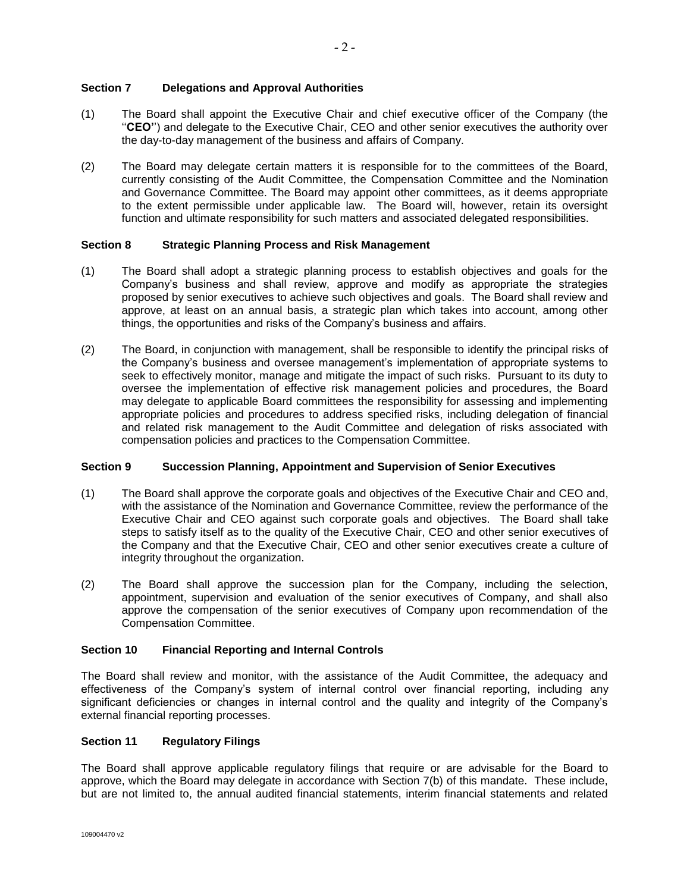# **Section 7 Delegations and Approval Authorities**

- (1) The Board shall appoint the Executive Chair and chief executive officer of the Company (the ''**CEO'**') and delegate to the Executive Chair, CEO and other senior executives the authority over the day-to-day management of the business and affairs of Company.
- (2) The Board may delegate certain matters it is responsible for to the committees of the Board, currently consisting of the Audit Committee, the Compensation Committee and the Nomination and Governance Committee. The Board may appoint other committees, as it deems appropriate to the extent permissible under applicable law. The Board will, however, retain its oversight function and ultimate responsibility for such matters and associated delegated responsibilities.

### **Section 8 Strategic Planning Process and Risk Management**

- (1) The Board shall adopt a strategic planning process to establish objectives and goals for the Company's business and shall review, approve and modify as appropriate the strategies proposed by senior executives to achieve such objectives and goals. The Board shall review and approve, at least on an annual basis, a strategic plan which takes into account, among other things, the opportunities and risks of the Company's business and affairs.
- (2) The Board, in conjunction with management, shall be responsible to identify the principal risks of the Company's business and oversee management's implementation of appropriate systems to seek to effectively monitor, manage and mitigate the impact of such risks. Pursuant to its duty to oversee the implementation of effective risk management policies and procedures, the Board may delegate to applicable Board committees the responsibility for assessing and implementing appropriate policies and procedures to address specified risks, including delegation of financial and related risk management to the Audit Committee and delegation of risks associated with compensation policies and practices to the Compensation Committee.

### **Section 9 Succession Planning, Appointment and Supervision of Senior Executives**

- (1) The Board shall approve the corporate goals and objectives of the Executive Chair and CEO and, with the assistance of the Nomination and Governance Committee, review the performance of the Executive Chair and CEO against such corporate goals and objectives. The Board shall take steps to satisfy itself as to the quality of the Executive Chair, CEO and other senior executives of the Company and that the Executive Chair, CEO and other senior executives create a culture of integrity throughout the organization.
- (2) The Board shall approve the succession plan for the Company, including the selection, appointment, supervision and evaluation of the senior executives of Company, and shall also approve the compensation of the senior executives of Company upon recommendation of the Compensation Committee.

# **Section 10 Financial Reporting and Internal Controls**

The Board shall review and monitor, with the assistance of the Audit Committee, the adequacy and effectiveness of the Company's system of internal control over financial reporting, including any significant deficiencies or changes in internal control and the quality and integrity of the Company's external financial reporting processes.

### **Section 11 Regulatory Filings**

The Board shall approve applicable regulatory filings that require or are advisable for the Board to approve, which the Board may delegate in accordance with Section 7(b) of this mandate. These include, but are not limited to, the annual audited financial statements, interim financial statements and related